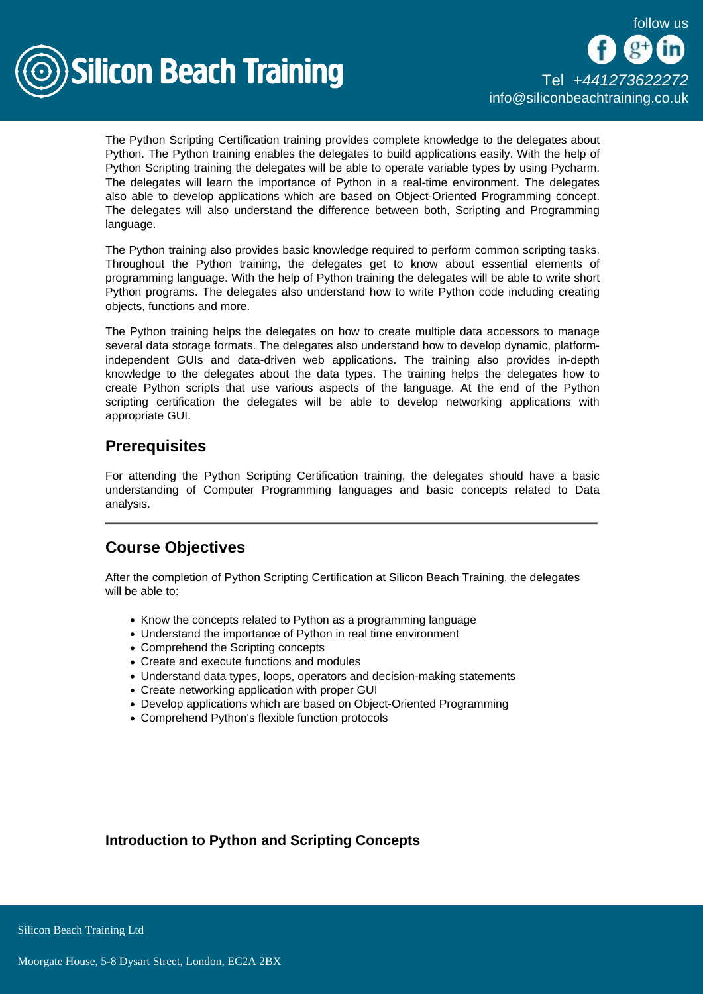

The Python Scripting Certification training provides complete knowledge to the delegates about Python. The Python training enables the delegates to build applications easily. With the help of Python Scripting training the delegates will be able to operate variable types by using Pycharm. The delegates will learn the importance of Python in a real-time environment. The delegates also able to develop applications which are based on Object-Oriented Programming concept. The delegates will also understand the difference between both, Scripting and Programming language.

The Python training also provides basic knowledge required to perform common scripting tasks. Throughout the Python training, the delegates get to know about essential elements of programming language. With the help of Python training the delegates will be able to write short Python programs. The delegates also understand how to write Python code including creating objects, functions and more.

The Python training helps the delegates on how to create multiple data accessors to manage several data storage formats. The delegates also understand how to develop dynamic, platformindependent GUIs and data-driven web applications. The training also provides in-depth knowledge to the delegates about the data types. The training helps the delegates how to create Python scripts that use various aspects of the language. At the end of the Python scripting certification the delegates will be able to develop networking applications with appropriate GUI.

## **Prerequisites**

For attending the Python Scripting Certification training, the delegates should have a basic understanding of Computer Programming languages and basic concepts related to Data analysis.

# Course Objectives

After the completion of Python Scripting Certification at Silicon Beach Training, the delegates will be able to:

- Know the concepts related to Python as a programming language
- Understand the importance of Python in real time environment
- Comprehend the Scripting concepts
- Create and execute functions and modules
- Understand data types, loops, operators and decision-making statements
- Create networking application with proper GUI
- Develop applications which are based on Object-Oriented Programming
- Comprehend Python's flexible function protocols

Introduction to Python and Scripting Concepts

**Silicon Beach Training Ltd**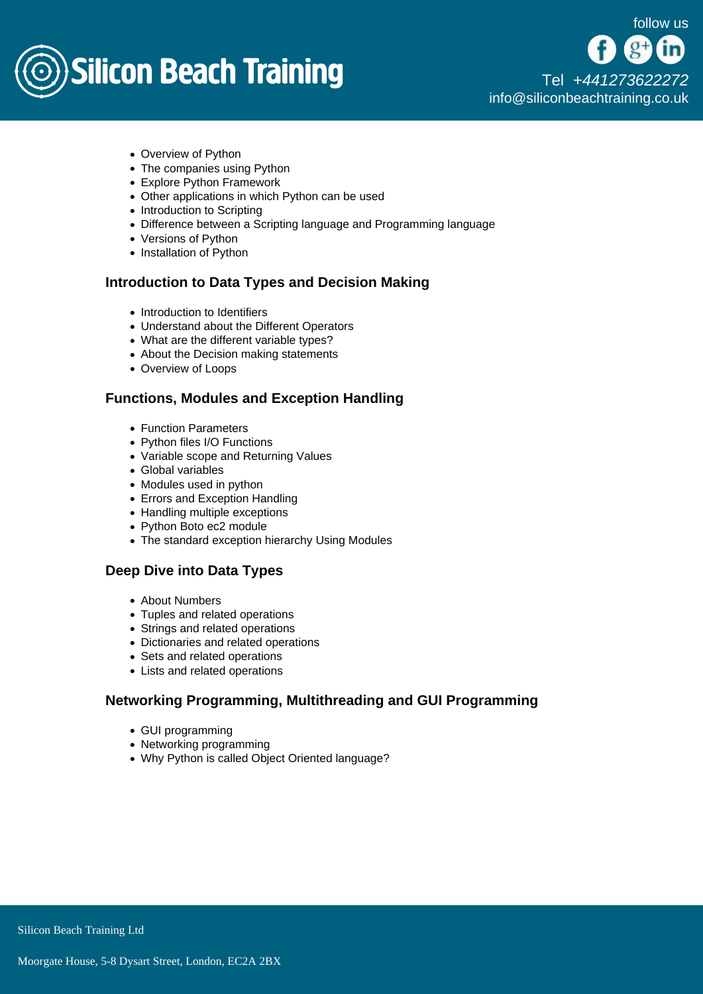

[Tel +44](tel:+441273622272)1273622272 [info@siliconbeachtraining.co.uk](/var/www/html/siliconbeachtraining.co.uk/public/mailTo:info@siliconbeachtraining.co.uk)

- Overview of Python
- The companies using Python
- Explore Python Framework
- Other applications in which Python can be used
- Introduction to Scripting
- Difference between a Scripting language and Programming language
- Versions of Python
- Installation of Python

#### Introduction to Data Types and Decision Making

- Introduction to Identifiers
- Understand about the Different Operators
- What are the different variable types?
- About the Decision making statements
- Overview of Loops

#### Functions, Modules and Exception Handling

- Function Parameters
- Python files I/O Functions
- Variable scope and Returning Values
- Global variables
- Modules used in python
- Errors and Exception Handling
- Handling multiple exceptions
- Python Boto ec2 module
- The standard exception hierarchy Using Modules

### Deep Dive into Data Types

- About Numbers
- Tuples and related operations
- Strings and related operations
- Dictionaries and related operations
- Sets and related operations
- Lists and related operations

#### Networking Programming, Multithreading and GUI Programming

- GUI programming
- Networking programming
- Why Python is called Object Oriented language?